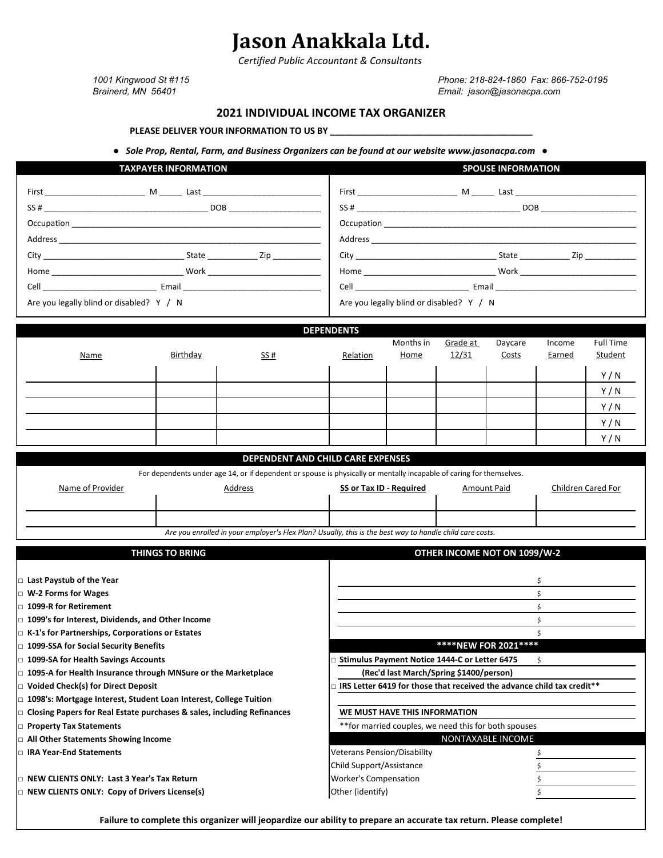# **Jason Anakkala Ltd.**

*Certified Public Accountant & Consultants*

*1001 Kingwood St #115 Phone: 218-824-1860 Fax: 866-752-0195 Brainerd, MN 56401 Email: jason@jasonacpa.com*

## **2021 INDIVIDUAL INCOME TAX ORGANIZER**

PLEASE DELIVER YOUR INFORMATION TO US BY

 *● Sole Prop, Rental, Farm, and Business Organizers can be found at our website www.jasonacpa.com ●*

| <b>TAXPAYER INFORMATION</b>                                                                                                                                                                                                                                                                        | <b>SPOUSE INFORMATION</b>                                                                                                                                                                                                                                                                               |
|----------------------------------------------------------------------------------------------------------------------------------------------------------------------------------------------------------------------------------------------------------------------------------------------------|---------------------------------------------------------------------------------------------------------------------------------------------------------------------------------------------------------------------------------------------------------------------------------------------------------|
| First M Last<br>$SS#$ DOB<br>Address and the contract of the contract of the contract of the contract of the contract of the contract of the contract of the contract of the contract of the contract of the contract of the contract of the contract of th<br>City City State Zip                 | First M Last<br>$SS#$ DOB<br>Address and the state of the state of the state of the state of the state of the state of the state of the state of the state of the state of the state of the state of the state of the state of the state of the state of the                                            |
| Home Work North Work<br>Email and the control of the control of the control of the control of the control of the control of the control of the control of the control of the control of the control of the control of the control of the control of th<br>Are you legally blind or disabled? Y / N | Home Work Work Noone Note and the Monte State of the Monte State of the Monte State of the Monte State of the Monte State of the Monte State of the Monte State of the Monte State of the Monte State of the Monte State of th<br>Email ___________________<br>Are you legally blind or disabled? Y / N |

|             |          |                                   | <b>DEPENDENTS</b> |           |          |         |        |           |  |
|-------------|----------|-----------------------------------|-------------------|-----------|----------|---------|--------|-----------|--|
|             |          |                                   |                   | Months in | Grade at | Daycare | Income | Full Time |  |
| <b>Name</b> | Birthday | 55#                               | Relation          | Home      | 12/31    | Costs   | Earned | Student   |  |
|             |          |                                   |                   |           |          |         |        |           |  |
|             |          |                                   |                   |           |          |         |        | Y/N       |  |
|             |          |                                   |                   |           |          |         |        | Y/N       |  |
|             |          |                                   |                   |           |          |         |        | Y/N       |  |
|             |          |                                   |                   |           |          |         |        | Y/N       |  |
|             |          |                                   |                   |           |          |         |        | Y/N       |  |
|             |          |                                   |                   |           |          |         |        |           |  |
|             |          | DEPENDENT AND CHILD CARE EXPENSES |                   |           |          |         |        |           |  |

|  | For dependents under age 14, or if dependent or spouse is physically or mentally incapable of caring for themselves. |                                                                                                          |                                |                              |                    |
|--|----------------------------------------------------------------------------------------------------------------------|----------------------------------------------------------------------------------------------------------|--------------------------------|------------------------------|--------------------|
|  | Name of Provider                                                                                                     | Address                                                                                                  | <b>SS or Tax ID - Required</b> | Amount Paid                  | Children Cared For |
|  |                                                                                                                      |                                                                                                          |                                |                              |                    |
|  |                                                                                                                      |                                                                                                          |                                |                              |                    |
|  |                                                                                                                      | Are you enrolled in your employer's Flex Plan? Usually, this is the best way to handle child care costs. |                                |                              |                    |
|  |                                                                                                                      |                                                                                                          |                                |                              |                    |
|  |                                                                                                                      | THINGS TO RRING                                                                                          |                                | OTHER INCOME NOT ON 1099/W-2 |                    |

| THINGS TO BRING                                                        | OTHER INCOME NOT ON 1099/W-2                                           |                             |  |
|------------------------------------------------------------------------|------------------------------------------------------------------------|-----------------------------|--|
|                                                                        |                                                                        |                             |  |
| Last Paystub of the Year                                               |                                                                        |                             |  |
| □ W-2 Forms for Wages                                                  |                                                                        |                             |  |
| $\scriptstyle\Box$ 1099-R for Retirement                               |                                                                        |                             |  |
| □ 1099's for Interest, Dividends, and Other Income                     |                                                                        |                             |  |
| □ K-1's for Partnerships, Corporations or Estates                      |                                                                        |                             |  |
| □ 1099-SSA for Social Security Benefits                                |                                                                        | <b>****NEW FOR 2021****</b> |  |
| □ 1099-SA for Health Savings Accounts                                  | Stimulus Payment Notice 1444-C or Letter 6475                          |                             |  |
| $\Box$ 1095-A for Health Insurance through MNSure or the Marketplace   | (Rec'd last March/Spring \$1400/person)                                |                             |  |
| □ Voided Check(s) for Direct Deposit                                   | IRS Letter 6419 for those that received the advance child tax credit** |                             |  |
| 1098's: Mortgage Interest, Student Loan Interest, College Tuition      |                                                                        |                             |  |
| Closing Papers for Real Estate purchases & sales, including Refinances | WE MUST HAVE THIS INFORMATION                                          |                             |  |
| <b>Property Tax Statements</b>                                         | ** for married couples, we need this for both spouses                  |                             |  |
| □ All Other Statements Showing Income                                  |                                                                        | NONTAXABLE INCOME           |  |
| □ IRA Year-End Statements                                              | <b>Veterans Pension/Disability</b>                                     |                             |  |
|                                                                        | Child Support/Assistance                                               |                             |  |
| □ NEW CLIENTS ONLY: Last 3 Year's Tax Return                           | <b>Worker's Compensation</b>                                           |                             |  |
| $\Box$ NEW CLIENTS ONLY: Copy of Drivers License(s)                    | Other (identify)                                                       |                             |  |

**Failure to complete this organizer will jeopardize our ability to prepare an accurate tax return. Please complete!**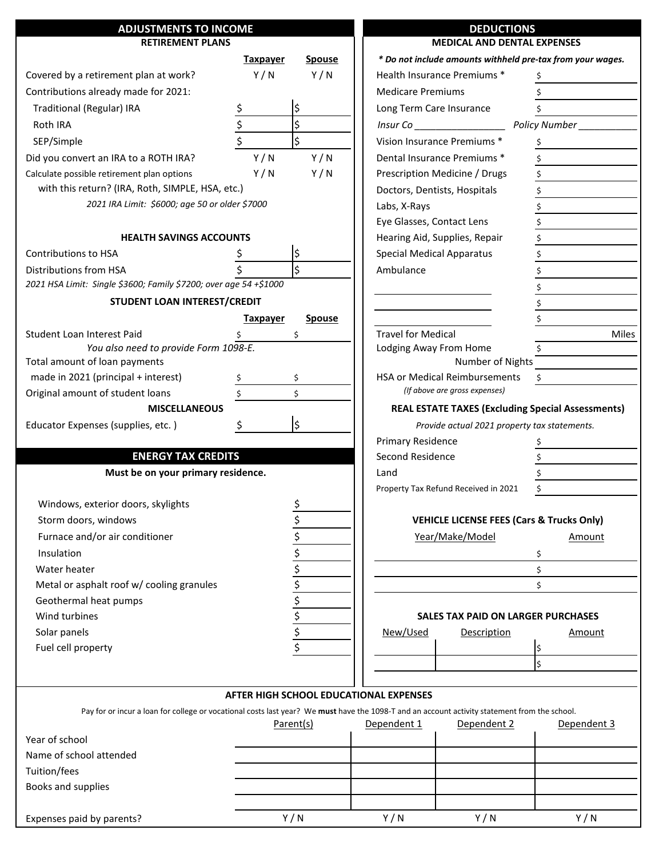| <b>ADJUSTMENTS TO INCOME</b>                                           |                 |               | <b>DEDUCTIONS</b>                                                                                                                             |
|------------------------------------------------------------------------|-----------------|---------------|-----------------------------------------------------------------------------------------------------------------------------------------------|
| <b>RETIREMENT PLANS</b>                                                |                 |               | <b>MEDICAL AND DENTAL EXPENSES</b>                                                                                                            |
|                                                                        | <b>Taxpayer</b> | <b>Spouse</b> | * Do not include amounts withheld pre-tax from your wages.                                                                                    |
| Covered by a retirement plan at work?                                  | Y/N             | Y/N           | Health Insurance Premiums *                                                                                                                   |
| Contributions already made for 2021:                                   |                 |               | <b>Medicare Premiums</b>                                                                                                                      |
| Traditional (Regular) IRA                                              | <u>\$</u>       | \$            | Long Term Care Insurance                                                                                                                      |
| Roth IRA                                                               | $\frac{1}{2}$   | \$            | Policy Number<br>Insur Co                                                                                                                     |
| SEP/Simple                                                             |                 | Ś             | Vision Insurance Premiums *                                                                                                                   |
| Did you convert an IRA to a ROTH IRA?                                  | Y/N             | Y/N           | Dental Insurance Premiums *                                                                                                                   |
| Calculate possible retirement plan options                             | Y/N             | Y/N           | Prescription Medicine / Drugs<br>\$                                                                                                           |
| with this return? (IRA, Roth, SIMPLE, HSA, etc.)                       |                 |               | Doctors, Dentists, Hospitals<br>\$                                                                                                            |
| 2021 IRA Limit: \$6000; age 50 or older \$7000                         |                 |               | \$<br>Labs, X-Rays                                                                                                                            |
|                                                                        |                 |               | Eye Glasses, Contact Lens<br>\$                                                                                                               |
| <b>HEALTH SAVINGS ACCOUNTS</b>                                         |                 |               | Hearing Aid, Supplies, Repair<br>\$                                                                                                           |
| Contributions to HSA                                                   |                 | \$            | <b>Special Medical Apparatus</b>                                                                                                              |
| Distributions from HSA                                                 |                 | \$            | Ambulance                                                                                                                                     |
| 2021 HSA Limit: Single \$3600; Family \$7200; over age 54 +\$1000      |                 |               |                                                                                                                                               |
| STUDENT LOAN INTEREST/CREDIT                                           |                 |               |                                                                                                                                               |
|                                                                        | <b>Taxpayer</b> | <b>Spouse</b> |                                                                                                                                               |
| Student Loan Interest Paid                                             |                 | \$            | <b>Travel for Medical</b><br><b>Miles</b>                                                                                                     |
| You also need to provide Form 1098-E.<br>Total amount of loan payments |                 |               | Lodging Away From Home<br>Number of Nights                                                                                                    |
| made in 2021 (principal + interest)                                    |                 | \$            | HSA or Medical Reimbursements<br>\$                                                                                                           |
| Original amount of student loans                                       |                 | Ś.            | (If above are gross expenses)                                                                                                                 |
| <b>MISCELLANEOUS</b>                                                   |                 |               | <b>REAL ESTATE TAXES (Excluding Special Assessments)</b>                                                                                      |
| Educator Expenses (supplies, etc.)                                     | Ş.              | l\$           | Provide actual 2021 property tax statements.                                                                                                  |
|                                                                        |                 |               | Primary Residence                                                                                                                             |
| <b>ENERGY TAX CREDITS</b>                                              |                 |               | Second Residence                                                                                                                              |
| Must be on your primary residence.                                     |                 |               | Land                                                                                                                                          |
|                                                                        |                 |               | \$<br>Property Tax Refund Received in 2021                                                                                                    |
| Windows, exterior doors, skylights                                     |                 | \$            |                                                                                                                                               |
| Storm doors, windows                                                   |                 | \$            | <b>VEHICLE LICENSE FEES (Cars &amp; Trucks Only)</b>                                                                                          |
| Furnace and/or air conditioner                                         |                 | \$            | Year/Make/Model<br>Amount                                                                                                                     |
| Insulation                                                             |                 | \$            | \$                                                                                                                                            |
| Water heater                                                           |                 | \$            | \$                                                                                                                                            |
| Metal or asphalt roof w/ cooling granules                              |                 | $\frac{1}{2}$ | \$                                                                                                                                            |
| Geothermal heat pumps                                                  |                 | \$            |                                                                                                                                               |
| Wind turbines                                                          |                 | \$            | <b>SALES TAX PAID ON LARGER PURCHASES</b>                                                                                                     |
| Solar panels                                                           |                 | \$            | New/Used<br>Description<br>Amount                                                                                                             |
| Fuel cell property                                                     |                 | \$            | l\$                                                                                                                                           |
|                                                                        |                 |               | \$                                                                                                                                            |
|                                                                        |                 |               |                                                                                                                                               |
|                                                                        |                 |               | AFTER HIGH SCHOOL EDUCATIONAL EXPENSES                                                                                                        |
|                                                                        |                 |               | Pay for or incur a loan for college or vocational costs last year? We must have the 1098-T and an account activity statement from the school. |
|                                                                        |                 | Parent(s)     | Dependent 1<br>Dependent 2<br>Dependent 3                                                                                                     |
| Year of school                                                         |                 |               |                                                                                                                                               |
| Name of school attended                                                |                 |               |                                                                                                                                               |
| Tuition/fees                                                           |                 |               |                                                                                                                                               |
| Books and supplies                                                     |                 |               |                                                                                                                                               |
|                                                                        |                 |               |                                                                                                                                               |
| Expenses paid by parents?                                              |                 | Y/N           | Y/N<br>Y/N<br>Y/N                                                                                                                             |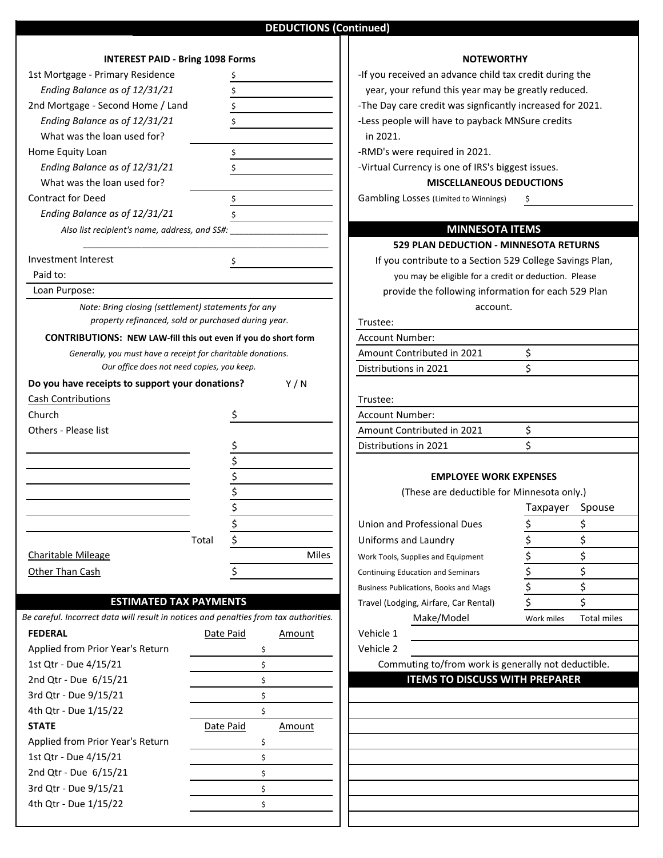## **DEDUCTIONS (Continued)**

| <b>INTEREST PAID - Bring 1098 Forms</b>                                               |                                                                                   |                     |
|---------------------------------------------------------------------------------------|-----------------------------------------------------------------------------------|---------------------|
| 1st Mortgage - Primary Residence                                                      | Ş                                                                                 | -If you red         |
| Ending Balance as of 12/31/21                                                         | \$                                                                                | year, yo            |
| 2nd Mortgage - Second Home / Land                                                     | \$                                                                                | -The Day            |
| Ending Balance as of 12/31/21                                                         | \$                                                                                | -Less peo           |
| What was the loan used for?                                                           |                                                                                   | in 2021.            |
| Home Equity Loan                                                                      | \$                                                                                | -RMD's w            |
| Ending Balance as of 12/31/21                                                         | \$                                                                                | -Virtual C          |
| What was the loan used for?                                                           |                                                                                   |                     |
| <b>Contract for Deed</b>                                                              | \$                                                                                | Gambling            |
| Ending Balance as of 12/31/21                                                         | \$                                                                                |                     |
| Also list recipient's name, address, and SS#:                                         |                                                                                   |                     |
|                                                                                       |                                                                                   | 5.                  |
| <b>Investment Interest</b>                                                            | \$                                                                                | If you              |
| Paid to:                                                                              |                                                                                   | y١                  |
| Loan Purpose:                                                                         |                                                                                   | proy                |
| Note: Bring closing (settlement) statements for any                                   |                                                                                   |                     |
|                                                                                       | property refinanced, sold or purchased during year.                               | Trustee:            |
| <b>CONTRIBUTIONS:</b> NEW LAW-fill this out even if you do short form                 |                                                                                   | Account N           |
| Generally, you must have a receipt for charitable donations.                          |                                                                                   | Amount C            |
| Our office does not need copies, you keep.                                            |                                                                                   | Distributio         |
| Do you have receipts to support your donations?                                       | Y/N                                                                               |                     |
| <b>Cash Contributions</b>                                                             |                                                                                   |                     |
|                                                                                       |                                                                                   | Trustee:            |
| Church                                                                                | -Ş                                                                                | Account N           |
| Others - Please list                                                                  |                                                                                   | Amount C            |
|                                                                                       | $\frac{1}{2}$<br>$\frac{1}{2}$<br>$\frac{1}{2}$<br>$\frac{1}{2}$<br>$\frac{1}{2}$ | Distributio         |
|                                                                                       |                                                                                   |                     |
|                                                                                       |                                                                                   |                     |
|                                                                                       |                                                                                   |                     |
|                                                                                       |                                                                                   |                     |
|                                                                                       |                                                                                   | Union and           |
|                                                                                       | Total<br>\$                                                                       | Uniforms            |
| <b>Charitable Mileage</b>                                                             | Miles                                                                             | Work Tools,         |
| Other Than Cash                                                                       | \$                                                                                | Continuing E        |
|                                                                                       |                                                                                   | <b>Business Pul</b> |
| <b>ESTIMATED TAX PAYMENTS</b>                                                         |                                                                                   | Travel (Lod         |
| Be careful. Incorrect data will result in notices and penalties from tax authorities. |                                                                                   |                     |
| <b>FEDERAL</b>                                                                        | Date Paid<br><b>Amount</b>                                                        | Vehicle 1           |
| Applied from Prior Year's Return                                                      | \$                                                                                | Vehicle 2           |
| 1st Qtr - Due 4/15/21                                                                 | \$                                                                                | Com                 |
| 2nd Qtr - Due 6/15/21                                                                 | \$                                                                                |                     |
| 3rd Qtr - Due 9/15/21                                                                 | \$                                                                                |                     |
| 4th Qtr - Due 1/15/22                                                                 | \$                                                                                |                     |
| <b>STATE</b>                                                                          |                                                                                   |                     |
|                                                                                       | Date Paid<br><u>Amount</u>                                                        |                     |
| Applied from Prior Year's Return                                                      | \$                                                                                |                     |
| 1st Qtr - Due 4/15/21                                                                 | \$                                                                                |                     |
| 2nd Qtr - Due 6/15/21                                                                 | \$                                                                                |                     |
| 3rd Qtr - Due 9/15/21                                                                 | \$                                                                                |                     |
| 4th Qtr - Due 1/15/22                                                                 | \$                                                                                |                     |

### **NOTEWORTHY**

year, your refund this year may be greatly reduced. -If you received an advance child tax credit during the

- The Day care credit was signficantly increased for 2021.

 *Ending Balance as of 12/31/21* -Less people will have to payback MNSure credits

-RMD's were required in 2021.

*-Virtual Currency is one of IRS's biggest issues.* 

#### **MISCELLANEOUS DEDUCTIONS**

Gambling Losses (Limited to Winnings) \$

# **MINNESOTA ITEMS**

 **529 PLAN DEDUCTION - MINNESOTA RETURNS**

If you contribute to a Section 529 College Savings Plan,

you may be eligible for a credit or deduction. Please

provide the following information for each 529 Plan account.

# Trustee:

| Account Number:            |  |
|----------------------------|--|
| Amount Contributed in 2021 |  |
| Distributions in 2021      |  |
|                            |  |
| Trustee:                   |  |
| <b>Account Number:</b>     |  |
| Amount Contributed in 2021 |  |

#### **EMPLOYEE WORK EXPENSES**

Distributions in 2021

(These are deductible for Minnesota only.)

|                 |                                        |                                              | Taxpayer   | Spouse      |  |
|-----------------|----------------------------------------|----------------------------------------------|------------|-------------|--|
|                 |                                        | Union and Professional Dues                  |            |             |  |
| Total           |                                        | Uniforms and Laundry                         |            |             |  |
|                 | <b>Miles</b>                           | Work Tools, Supplies and Equipment           |            |             |  |
|                 |                                        | <b>Continuing Education and Seminars</b>     |            |             |  |
|                 |                                        | <b>Business Publications, Books and Mags</b> |            |             |  |
| <b>PAYMENTS</b> |                                        | Travel (Lodging, Airfare, Car Rental)        |            |             |  |
|                 | es and penalties from tax authorities. | Make/Model                                   | Work miles | Total miles |  |

Commuting to/from work is generally not deductible.

## **ITEMS TO DISCUSS WITH PREPARER**